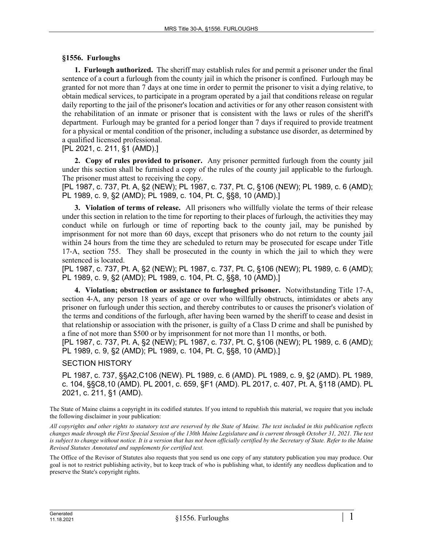## **§1556. Furloughs**

**1. Furlough authorized.** The sheriff may establish rules for and permit a prisoner under the final sentence of a court a furlough from the county jail in which the prisoner is confined. Furlough may be granted for not more than 7 days at one time in order to permit the prisoner to visit a dying relative, to obtain medical services, to participate in a program operated by a jail that conditions release on regular daily reporting to the jail of the prisoner's location and activities or for any other reason consistent with the rehabilitation of an inmate or prisoner that is consistent with the laws or rules of the sheriff's department. Furlough may be granted for a period longer than 7 days if required to provide treatment for a physical or mental condition of the prisoner, including a substance use disorder, as determined by a qualified licensed professional.

[PL 2021, c. 211, §1 (AMD).]

**2. Copy of rules provided to prisoner.** Any prisoner permitted furlough from the county jail under this section shall be furnished a copy of the rules of the county jail applicable to the furlough. The prisoner must attest to receiving the copy.

[PL 1987, c. 737, Pt. A, §2 (NEW); PL 1987, c. 737, Pt. C, §106 (NEW); PL 1989, c. 6 (AMD); PL 1989, c. 9, §2 (AMD); PL 1989, c. 104, Pt. C, §§8, 10 (AMD).]

**3. Violation of terms of release.** All prisoners who willfully violate the terms of their release under this section in relation to the time for reporting to their places of furlough, the activities they may conduct while on furlough or time of reporting back to the county jail, may be punished by imprisonment for not more than 60 days, except that prisoners who do not return to the county jail within 24 hours from the time they are scheduled to return may be prosecuted for escape under Title 17‑A, section 755. They shall be prosecuted in the county in which the jail to which they were sentenced is located.

[PL 1987, c. 737, Pt. A, §2 (NEW); PL 1987, c. 737, Pt. C, §106 (NEW); PL 1989, c. 6 (AMD); PL 1989, c. 9, §2 (AMD); PL 1989, c. 104, Pt. C, §§8, 10 (AMD).]

**4. Violation; obstruction or assistance to furloughed prisoner.** Notwithstanding Title 17‑A, section 4–A, any person 18 years of age or over who willfully obstructs, intimidates or abets any prisoner on furlough under this section, and thereby contributes to or causes the prisoner's violation of the terms and conditions of the furlough, after having been warned by the sheriff to cease and desist in that relationship or association with the prisoner, is guilty of a Class D crime and shall be punished by a fine of not more than \$500 or by imprisonment for not more than 11 months, or both.

[PL 1987, c. 737, Pt. A, §2 (NEW); PL 1987, c. 737, Pt. C, §106 (NEW); PL 1989, c. 6 (AMD); PL 1989, c. 9, §2 (AMD); PL 1989, c. 104, Pt. C, §§8, 10 (AMD).]

SECTION HISTORY

PL 1987, c. 737, §§A2,C106 (NEW). PL 1989, c. 6 (AMD). PL 1989, c. 9, §2 (AMD). PL 1989, c. 104, §§C8,10 (AMD). PL 2001, c. 659, §F1 (AMD). PL 2017, c. 407, Pt. A, §118 (AMD). PL 2021, c. 211, §1 (AMD).

The State of Maine claims a copyright in its codified statutes. If you intend to republish this material, we require that you include the following disclaimer in your publication:

*All copyrights and other rights to statutory text are reserved by the State of Maine. The text included in this publication reflects changes made through the First Special Session of the 130th Maine Legislature and is current through October 31, 2021. The text*  is subject to change without notice. It is a version that has not been officially certified by the Secretary of State. Refer to the Maine *Revised Statutes Annotated and supplements for certified text.*

The Office of the Revisor of Statutes also requests that you send us one copy of any statutory publication you may produce. Our goal is not to restrict publishing activity, but to keep track of who is publishing what, to identify any needless duplication and to preserve the State's copyright rights.